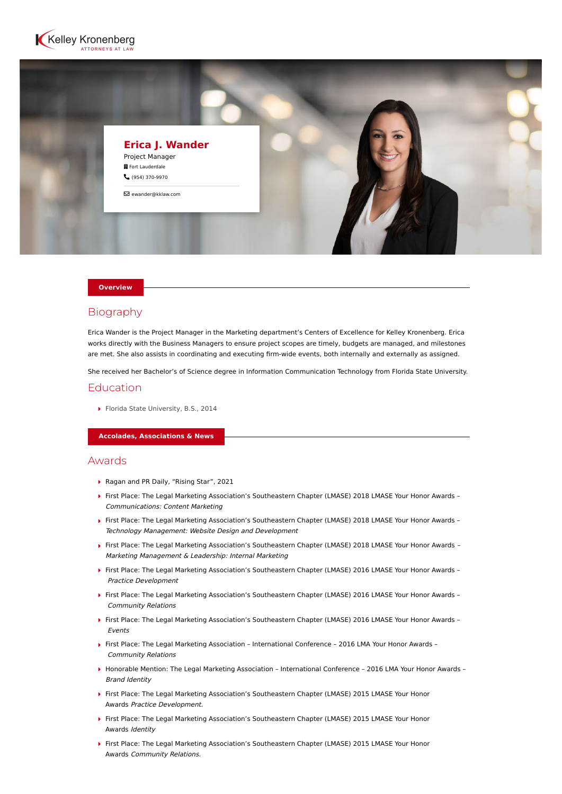



#### **Overview**

# Biography

Erica Wander is the Project Manager in the Marketing department's Centers of Excellence for Kelley Kronenberg. Erica works directly with the Business Managers to ensure project scopes are timely, budgets are managed, and milestones are met. She also assists in coordinating and executing firm-wide events, both internally and externally as assigned.

She received her Bachelor's of Science degree in Information Communication Technology from Florida State University.

# Education

Florida State University, B.S., 2014

**Accolades, Associations & News**

### Awards

- ▶ Ragan and PR Daily, "Rising Star", 2021
- First Place: The Legal Marketing Association's Southeastern Chapter (LMASE) 2018 LMASE Your Honor Awards Communications: Content Marketing
- First Place: The Legal Marketing Association's Southeastern Chapter (LMASE) 2018 LMASE Your Honor Awards Technology Management: Website Design and Development
- First Place: The Legal Marketing Association's Southeastern Chapter (LMASE) 2018 LMASE Your Honor Awards Marketing Management & Leadership: Internal Marketing
- First Place: The Legal Marketing Association's Southeastern Chapter (LMASE) 2016 LMASE Your Honor Awards Practice Development
- First Place: The Legal Marketing Association's Southeastern Chapter (LMASE) 2016 LMASE Your Honor Awards Community Relations
- First Place: The Legal Marketing Association's Southeastern Chapter (LMASE) 2016 LMASE Your Honor Awards Events
- First Place: The Legal Marketing Association International Conference 2016 LMA Your Honor Awards Community Relations
- Honorable Mention: The Legal Marketing Association International Conference 2016 LMA Your Honor Awards Brand Identity
- First Place: The Legal Marketing Association's Southeastern Chapter (LMASE) 2015 LMASE Your Honor Awards Practice Development.
- First Place: The Legal Marketing Association's Southeastern Chapter (LMASE) 2015 LMASE Your Honor Awards Identity
- $\blacktriangleright$  First Place: The Legal Marketing Association's Southeastern Chapter (LMASE) 2015 LMASE Your Honor Awards Community Relations.